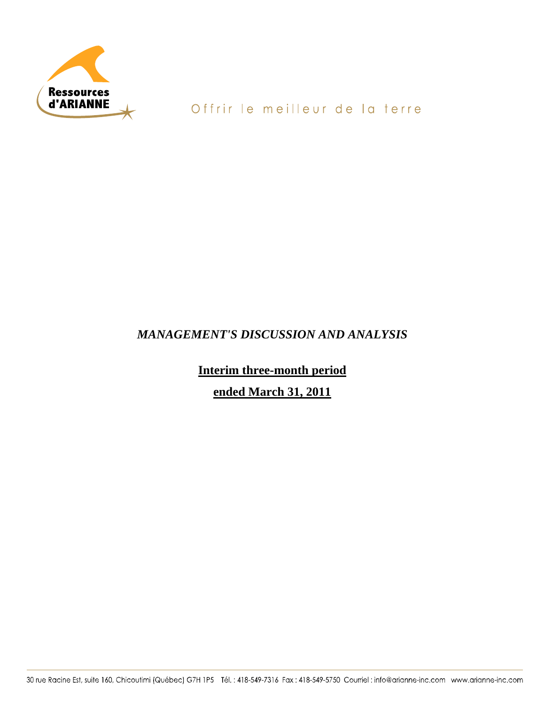

# Offrir le meilleur de la terre

# *MANAGEMENT'S DISCUSSION AND ANALYSIS*

**Interim three-month period** 

**ended March 31, 2011**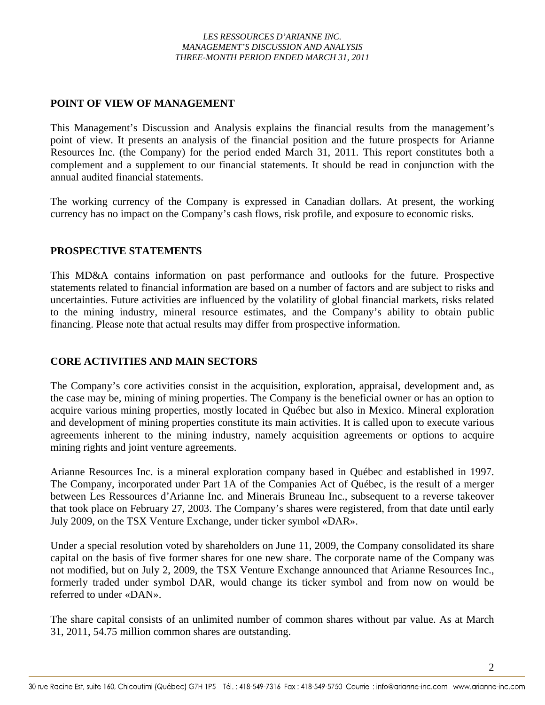# **POINT OF VIEW OF MANAGEMENT**

This Management's Discussion and Analysis explains the financial results from the management's point of view. It presents an analysis of the financial position and the future prospects for Arianne Resources Inc. (the Company) for the period ended March 31, 2011. This report constitutes both a complement and a supplement to our financial statements. It should be read in conjunction with the annual audited financial statements.

The working currency of the Company is expressed in Canadian dollars. At present, the working currency has no impact on the Company's cash flows, risk profile, and exposure to economic risks.

# **PROSPECTIVE STATEMENTS**

This MD&A contains information on past performance and outlooks for the future. Prospective statements related to financial information are based on a number of factors and are subject to risks and uncertainties. Future activities are influenced by the volatility of global financial markets, risks related to the mining industry, mineral resource estimates, and the Company's ability to obtain public financing. Please note that actual results may differ from prospective information.

# **CORE ACTIVITIES AND MAIN SECTORS**

The Company's core activities consist in the acquisition, exploration, appraisal, development and, as the case may be, mining of mining properties. The Company is the beneficial owner or has an option to acquire various mining properties, mostly located in Québec but also in Mexico. Mineral exploration and development of mining properties constitute its main activities. It is called upon to execute various agreements inherent to the mining industry, namely acquisition agreements or options to acquire mining rights and joint venture agreements.

Arianne Resources Inc. is a mineral exploration company based in Québec and established in 1997. The Company, incorporated under Part 1A of the Companies Act of Québec, is the result of a merger between Les Ressources d'Arianne Inc. and Minerais Bruneau Inc., subsequent to a reverse takeover that took place on February 27, 2003. The Company's shares were registered, from that date until early July 2009, on the TSX Venture Exchange, under ticker symbol «DAR».

Under a special resolution voted by shareholders on June 11, 2009, the Company consolidated its share capital on the basis of five former shares for one new share. The corporate name of the Company was not modified, but on July 2, 2009, the TSX Venture Exchange announced that Arianne Resources Inc., formerly traded under symbol DAR, would change its ticker symbol and from now on would be referred to under «DAN».

The share capital consists of an unlimited number of common shares without par value. As at March 31, 2011, 54.75 million common shares are outstanding.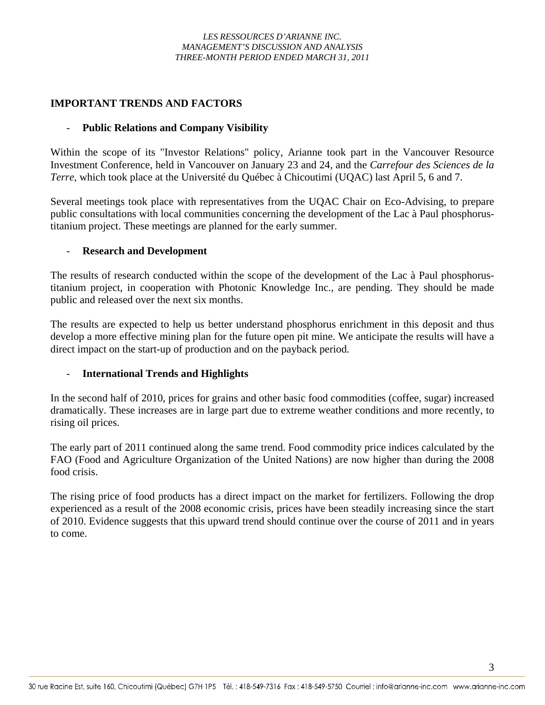# **IMPORTANT TRENDS AND FACTORS**

### - **Public Relations and Company Visibility**

Within the scope of its "Investor Relations" policy, Arianne took part in the Vancouver Resource Investment Conference, held in Vancouver on January 23 and 24, and the *Carrefour des Sciences de la Terre*, which took place at the Université du Québec à Chicoutimi (UQAC) last April 5, 6 and 7.

Several meetings took place with representatives from the UQAC Chair on Eco-Advising, to prepare public consultations with local communities concerning the development of the Lac à Paul phosphorustitanium project. These meetings are planned for the early summer.

### - **Research and Development**

The results of research conducted within the scope of the development of the Lac à Paul phosphorustitanium project, in cooperation with Photonic Knowledge Inc., are pending. They should be made public and released over the next six months.

The results are expected to help us better understand phosphorus enrichment in this deposit and thus develop a more effective mining plan for the future open pit mine. We anticipate the results will have a direct impact on the start-up of production and on the payback period.

# - **International Trends and Highlights**

In the second half of 2010, prices for grains and other basic food commodities (coffee, sugar) increased dramatically. These increases are in large part due to extreme weather conditions and more recently, to rising oil prices.

The early part of 2011 continued along the same trend. Food commodity price indices calculated by the FAO (Food and Agriculture Organization of the United Nations) are now higher than during the 2008 food crisis.

The rising price of food products has a direct impact on the market for fertilizers. Following the drop experienced as a result of the 2008 economic crisis, prices have been steadily increasing since the start of 2010. Evidence suggests that this upward trend should continue over the course of 2011 and in years to come.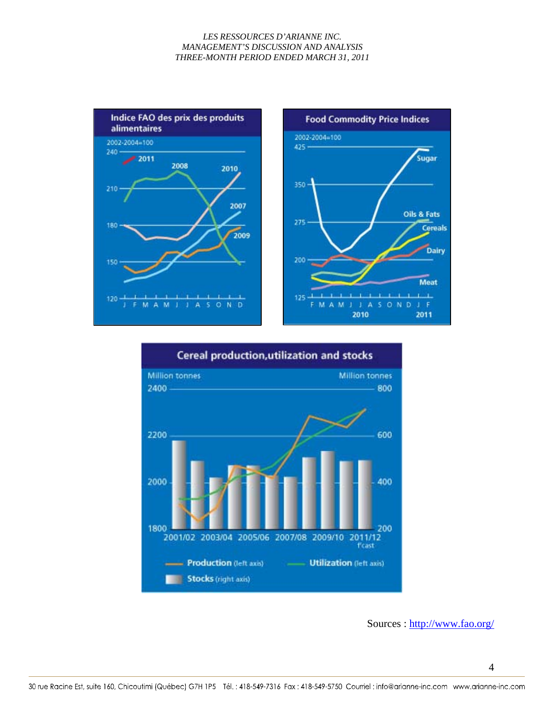



Sources : http://www.fao.org/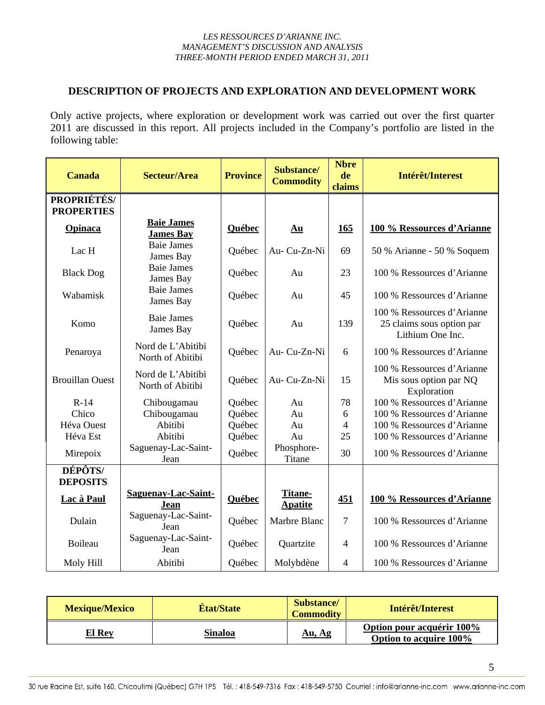### **DESCRIPTION OF PROJECTS AND EXPLORATION AND DEVELOPMENT WORK**

Only active projects, where exploration or development work was carried out over the first quarter 2011 are discussed in this report. All projects included in the Company's portfolio are listed in the following table:

| <b>Canada</b>                           | <b>Secteur/Area</b>                   | <b>Province</b> | Substance/<br><b>Commodity</b> | <b>Nbre</b><br>de<br>claims | Intérêt/Interest                                                            |
|-----------------------------------------|---------------------------------------|-----------------|--------------------------------|-----------------------------|-----------------------------------------------------------------------------|
| <b>PROPRIÉTÉS/</b><br><b>PROPERTIES</b> |                                       |                 |                                |                             |                                                                             |
| Opinaca                                 | <b>Baie James</b><br><b>James Bay</b> | Québec          | Au                             | <b>165</b>                  | 100 % Ressources d'Arianne                                                  |
| Lac H                                   | <b>Baie James</b><br>James Bay        | Québec          | Au-Cu-Zn-Ni                    | 69                          | 50 % Arianne - 50 % Soquem                                                  |
| <b>Black Dog</b>                        | <b>Baie James</b><br>James Bay        | Québec          | Au                             | 23                          | 100 % Ressources d'Arianne                                                  |
| Wabamisk                                | <b>Baie James</b><br>James Bay        | Québec          | Au                             | 45                          | 100 % Ressources d'Arianne                                                  |
| Komo                                    | <b>Baie James</b><br>James Bay        | Québec          | Au                             | 139                         | 100 % Ressources d'Arianne<br>25 claims sous option par<br>Lithium One Inc. |
| Penaroya                                | Nord de L'Abitibi<br>North of Abitibi | Québec          | Au-Cu-Zn-Ni                    | 6                           | 100 % Ressources d'Arianne                                                  |
| <b>Brouillan Ouest</b>                  | Nord de L'Abitibi<br>North of Abitibi | Québec          | Au-Cu-Zn-Ni                    | 15                          | 100 % Ressources d'Arianne<br>Mis sous option par NQ<br>Exploration         |
| $R-14$                                  | Chibougamau                           | Québec          | Au                             | 78                          | 100 % Ressources d'Arianne                                                  |
| Chico                                   | Chibougamau                           | Québec          | Au                             | 6                           | 100 % Ressources d'Arianne                                                  |
| Héva Ouest                              | Abitibi                               | Québec          | Au                             | $\overline{4}$              | 100 % Ressources d'Arianne                                                  |
| Héva Est                                | Abitibi                               | Québec          | Au                             | 25                          | 100 % Ressources d'Arianne                                                  |
| Mirepoix                                | Saguenay-Lac-Saint-<br>Jean           | Québec          | Phosphore-<br>Titane           | 30                          | 100 % Ressources d'Arianne                                                  |
| DÉPÔTS/<br><b>DEPOSITS</b>              |                                       |                 |                                |                             |                                                                             |
| Lac à Paul                              | <b>Saguenay-Lac-Saint-</b><br>Jean    | Québec          | Titane-<br><b>Apatite</b>      | 451                         | 100 % Ressources d'Arianne                                                  |
| Dulain                                  | Saguenay-Lac-Saint-<br>Jean           | Québec          | Marbre Blanc                   | $\overline{7}$              | 100 % Ressources d'Arianne                                                  |
| Boileau                                 | Saguenay-Lac-Saint-<br>Jean           | Québec          | Quartzite                      | $\overline{4}$              | 100 % Ressources d'Arianne                                                  |
| Moly Hill                               | Abitibi                               | Québec          | Molybdène                      | $\overline{4}$              | 100 % Ressources d'Arianne                                                  |

| <b>Mexique/Mexico</b> | <b>Etat/State</b> | Substance/<br><b>Commodity</b> | Intérêt/Interest                                    |
|-----------------------|-------------------|--------------------------------|-----------------------------------------------------|
| <b>El Rey</b>         | Sinaloa           | Au, Ag                         | Option pour acquérir 100%<br>Option to acquire 100% |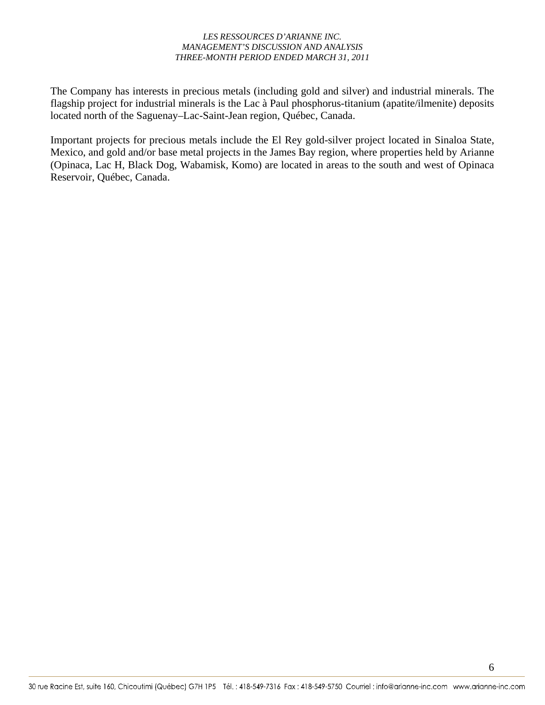The Company has interests in precious metals (including gold and silver) and industrial minerals. The flagship project for industrial minerals is the Lac à Paul phosphorus-titanium (apatite/ilmenite) deposits located north of the Saguenay–Lac-Saint-Jean region, Québec, Canada.

Important projects for precious metals include the El Rey gold-silver project located in Sinaloa State, Mexico, and gold and/or base metal projects in the James Bay region, where properties held by Arianne (Opinaca, Lac H, Black Dog, Wabamisk, Komo) are located in areas to the south and west of Opinaca Reservoir, Québec, Canada.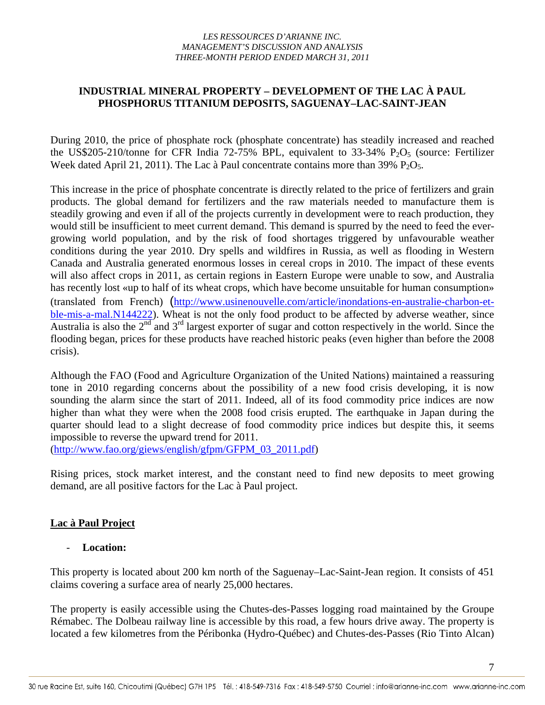# **INDUSTRIAL MINERAL PROPERTY – DEVELOPMENT OF THE LAC À PAUL PHOSPHORUS TITANIUM DEPOSITS, SAGUENAY–LAC-SAINT-JEAN**

During 2010, the price of phosphate rock (phosphate concentrate) has steadily increased and reached the US\$205-210/tonne for CFR India 72-75% BPL, equivalent to  $33\n-34\n%$  P<sub>2</sub>O<sub>5</sub> (source: Fertilizer Week dated April 21, 2011). The Lac à Paul concentrate contains more than  $39\%$  P<sub>2</sub>O<sub>5</sub>.

This increase in the price of phosphate concentrate is directly related to the price of fertilizers and grain products. The global demand for fertilizers and the raw materials needed to manufacture them is steadily growing and even if all of the projects currently in development were to reach production, they would still be insufficient to meet current demand. This demand is spurred by the need to feed the evergrowing world population, and by the risk of food shortages triggered by unfavourable weather conditions during the year 2010. Dry spells and wildfires in Russia, as well as flooding in Western Canada and Australia generated enormous losses in cereal crops in 2010. The impact of these events will also affect crops in 2011, as certain regions in Eastern Europe were unable to sow, and Australia has recently lost «up to half of its wheat crops, which have become unsuitable for human consumption» (translated from French) (http://www.usinenouvelle.com/article/inondations-en-australie-charbon-etble-mis-a-mal.N144222). Wheat is not the only food product to be affected by adverse weather, since Australia is also the  $2^{nd}$  and  $3^{rd}$  largest exporter of sugar and cotton respectively in the world. Since the flooding began, prices for these products have reached historic peaks (even higher than before the 2008 crisis).

Although the FAO (Food and Agriculture Organization of the United Nations) maintained a reassuring tone in 2010 regarding concerns about the possibility of a new food crisis developing, it is now sounding the alarm since the start of 2011. Indeed, all of its food commodity price indices are now higher than what they were when the 2008 food crisis erupted. The earthquake in Japan during the quarter should lead to a slight decrease of food commodity price indices but despite this, it seems impossible to reverse the upward trend for 2011.

(http://www.fao.org/giews/english/gfpm/GFPM\_03\_2011.pdf)

Rising prices, stock market interest, and the constant need to find new deposits to meet growing demand, are all positive factors for the Lac à Paul project.

# **Lac à Paul Project**

# Location:

This property is located about 200 km north of the Saguenay–Lac-Saint-Jean region. It consists of 451 claims covering a surface area of nearly 25,000 hectares.

The property is easily accessible using the Chutes-des-Passes logging road maintained by the Groupe Rémabec. The Dolbeau railway line is accessible by this road, a few hours drive away. The property is located a few kilometres from the Péribonka (Hydro-Québec) and Chutes-des-Passes (Rio Tinto Alcan)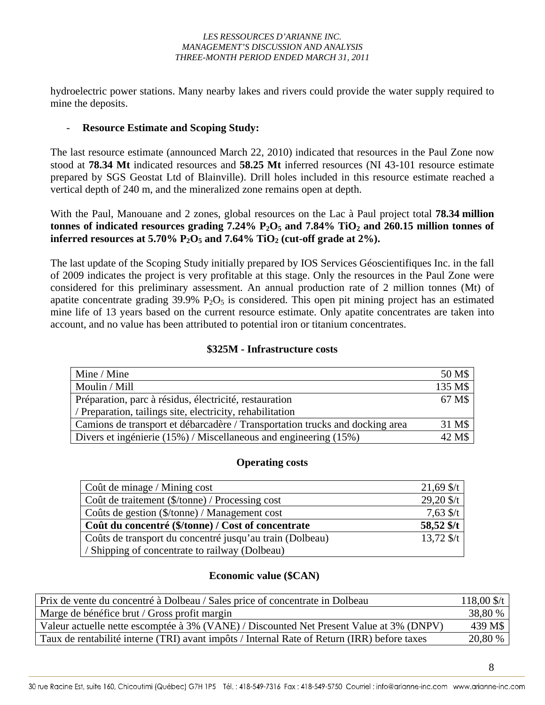hydroelectric power stations. Many nearby lakes and rivers could provide the water supply required to mine the deposits.

### - **Resource Estimate and Scoping Study:**

The last resource estimate (announced March 22, 2010) indicated that resources in the Paul Zone now stood at **78.34 Mt** indicated resources and **58.25 Mt** inferred resources (NI 43-101 resource estimate prepared by SGS Geostat Ltd of Blainville). Drill holes included in this resource estimate reached a vertical depth of 240 m, and the mineralized zone remains open at depth.

With the Paul, Manouane and 2 zones, global resources on the Lac à Paul project total **78.34 million**  tonnes of indicated resources grading  $7.24\%$   $P_2O_5$  and  $7.84\%$  TiO<sub>2</sub> and  $260.15$  million tonnes of **inferred resources at 5.70% P<sub>2</sub>O<sub>5</sub> and 7.64% TiO<sub>2</sub> (cut-off grade at 2%).** 

The last update of the Scoping Study initially prepared by IOS Services Géoscientifiques Inc. in the fall of 2009 indicates the project is very profitable at this stage. Only the resources in the Paul Zone were considered for this preliminary assessment. An annual production rate of 2 million tonnes (Mt) of apatite concentrate grading  $39.9\%$  P<sub>2</sub>O<sub>5</sub> is considered. This open pit mining project has an estimated mine life of 13 years based on the current resource estimate. Only apatite concentrates are taken into account, and no value has been attributed to potential iron or titanium concentrates.

### **\$325M - Infrastructure costs**

| Mine / Mine                                                                  | 50 M\$  |
|------------------------------------------------------------------------------|---------|
| Moulin / Mill                                                                | 135 M\$ |
| Préparation, parc à résidus, électricité, restauration                       | 67 M\$  |
| / Preparation, tailings site, electricity, rehabilitation                    |         |
| Camions de transport et débarcadère / Transportation trucks and docking area | 31 M\$  |
| Divers et ingénierie (15%) / Miscellaneous and engineering (15%)             | 42 M\$  |

### **Operating costs**

| Coût de minage / Mining cost                             | $21,69$ \$/t |
|----------------------------------------------------------|--------------|
| Coût de traitement (\$/tonne) / Processing cost          | $29,20$ \$/t |
| Coûts de gestion (\$/tonne) / Management cost            | $7,63$ \$/t  |
| Coût du concentré (\$/tonne) / Cost of concentrate       | 58,52 \$/t   |
| Coûts de transport du concentré jusqu'au train (Dolbeau) | $13,72$ \$/t |
| / Shipping of concentrate to railway (Dolbeau)           |              |

### **Economic value (\$CAN)**

| Prix de vente du concentré à Dolbeau / Sales price of concentrate in Dolbeau                |         |  |  |  |
|---------------------------------------------------------------------------------------------|---------|--|--|--|
| Marge de bénéfice brut / Gross profit margin                                                | 38,80 % |  |  |  |
| Valeur actuelle nette escomptée à 3% (VANE) / Discounted Net Present Value at 3% (DNPV)     | 439 M\$ |  |  |  |
| Taux de rentabilité interne (TRI) avant impôts / Internal Rate of Return (IRR) before taxes | 20,80 % |  |  |  |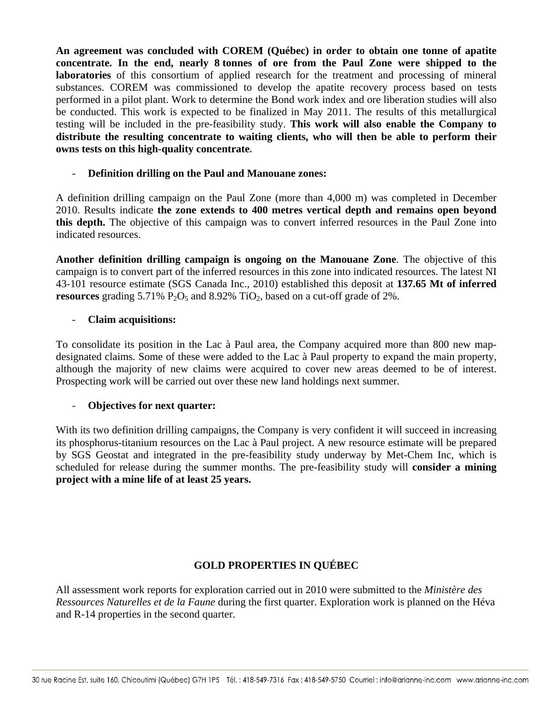**An agreement was concluded with COREM (Québec) in order to obtain one tonne of apatite concentrate. In the end, nearly 8 tonnes of ore from the Paul Zone were shipped to the laboratories** of this consortium of applied research for the treatment and processing of mineral substances. COREM was commissioned to develop the apatite recovery process based on tests performed in a pilot plant. Work to determine the Bond work index and ore liberation studies will also be conducted. This work is expected to be finalized in May 2011. The results of this metallurgical testing will be included in the pre-feasibility study. **This work will also enable the Company to distribute the resulting concentrate to waiting clients, who will then be able to perform their owns tests on this high-quality concentrate.**

### - **Definition drilling on the Paul and Manouane zones:**

A definition drilling campaign on the Paul Zone (more than 4,000 m) was completed in December 2010. Results indicate **the zone extends to 400 metres vertical depth and remains open beyond this depth.** The objective of this campaign was to convert inferred resources in the Paul Zone into indicated resources.

**Another definition drilling campaign is ongoing on the Manouane Zone**. The objective of this campaign is to convert part of the inferred resources in this zone into indicated resources. The latest NI 43-101 resource estimate (SGS Canada Inc., 2010) established this deposit at **137.65 Mt of inferred resources** grading  $5.71\%$  P<sub>2</sub>O<sub>5</sub> and  $8.92\%$  TiO<sub>2</sub>, based on a cut-off grade of 2%.

### - **Claim acquisitions:**

To consolidate its position in the Lac à Paul area, the Company acquired more than 800 new mapdesignated claims. Some of these were added to the Lac à Paul property to expand the main property, although the majority of new claims were acquired to cover new areas deemed to be of interest. Prospecting work will be carried out over these new land holdings next summer.

### - **Objectives for next quarter:**

With its two definition drilling campaigns, the Company is very confident it will succeed in increasing its phosphorus-titanium resources on the Lac à Paul project. A new resource estimate will be prepared by SGS Geostat and integrated in the pre-feasibility study underway by Met-Chem Inc, which is scheduled for release during the summer months. The pre-feasibility study will **consider a mining project with a mine life of at least 25 years.**

# **GOLD PROPERTIES IN QUÉBEC**

All assessment work reports for exploration carried out in 2010 were submitted to the *Ministère des Ressources Naturelles et de la Faune* during the first quarter. Exploration work is planned on the Héva and R-14 properties in the second quarter.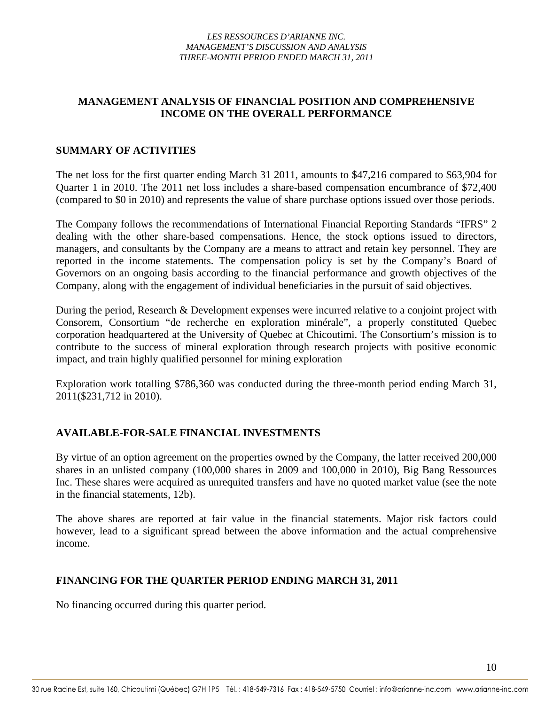# **MANAGEMENT ANALYSIS OF FINANCIAL POSITION AND COMPREHENSIVE INCOME ON THE OVERALL PERFORMANCE**

### **SUMMARY OF ACTIVITIES**

The net loss for the first quarter ending March 31 2011, amounts to \$47,216 compared to \$63,904 for Quarter 1 in 2010. The 2011 net loss includes a share-based compensation encumbrance of \$72,400 (compared to \$0 in 2010) and represents the value of share purchase options issued over those periods.

The Company follows the recommendations of International Financial Reporting Standards "IFRS" 2 dealing with the other share-based compensations. Hence, the stock options issued to directors, managers, and consultants by the Company are a means to attract and retain key personnel. They are reported in the income statements. The compensation policy is set by the Company's Board of Governors on an ongoing basis according to the financial performance and growth objectives of the Company, along with the engagement of individual beneficiaries in the pursuit of said objectives.

During the period, Research & Development expenses were incurred relative to a conjoint project with Consorem, Consortium "de recherche en exploration minérale", a properly constituted Quebec corporation headquartered at the University of Quebec at Chicoutimi. The Consortium's mission is to contribute to the success of mineral exploration through research projects with positive economic impact, and train highly qualified personnel for mining exploration

Exploration work totalling \$786,360 was conducted during the three-month period ending March 31, 2011(\$231,712 in 2010).

# **AVAILABLE-FOR-SALE FINANCIAL INVESTMENTS**

By virtue of an option agreement on the properties owned by the Company, the latter received 200,000 shares in an unlisted company (100,000 shares in 2009 and 100,000 in 2010), Big Bang Ressources Inc. These shares were acquired as unrequited transfers and have no quoted market value (see the note in the financial statements, 12b).

The above shares are reported at fair value in the financial statements. Major risk factors could however, lead to a significant spread between the above information and the actual comprehensive income.

### **FINANCING FOR THE QUARTER PERIOD ENDING MARCH 31, 2011**

No financing occurred during this quarter period.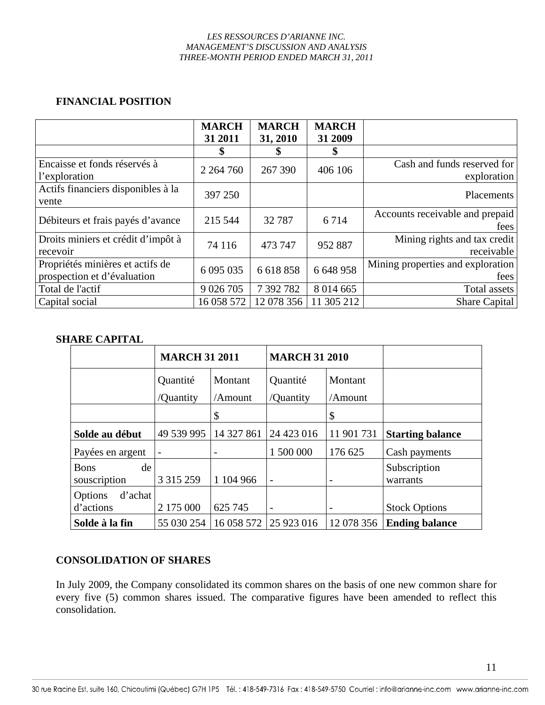# **FINANCIAL POSITION**

|                                                                 | <b>MARCH</b><br>31 2011 | <b>MARCH</b><br>31, 2010 | <b>MARCH</b><br>31 2009 |                                            |
|-----------------------------------------------------------------|-------------------------|--------------------------|-------------------------|--------------------------------------------|
|                                                                 |                         |                          | \$                      |                                            |
| Encaisse et fonds réservés à<br>l'exploration                   | 2 2 64 7 60             | 267 390                  | 406 106                 | Cash and funds reserved for<br>exploration |
| Actifs financiers disponibles à la<br>vente                     | 397 250                 |                          |                         | <b>Placements</b>                          |
| Débiteurs et frais payés d'avance                               | 215 544                 | 32787                    | 6714                    | Accounts receivable and prepaid<br>fees    |
| Droits miniers et crédit d'impôt à<br>recevoir                  | 74 116                  | 473 747                  | 952 887                 | Mining rights and tax credit<br>receivable |
| Propriétés minières et actifs de<br>prospection et d'évaluation | 6 0 9 5 0 3 5           | 6 618 858                | 6 648 958               | Mining properties and exploration<br>fees  |
| Total de l'actif                                                | 9 0 26 7 0 5            | 7 392 782                | 8 0 14 6 65             | Total assets                               |
| Capital social                                                  | 16 058 572              | 12 078 356               | 11 305 212              | Share Capital                              |

# **SHARE CAPITAL**

|                                   | <b>MARCH 31 2011</b> |            | <b>MARCH 31 2010</b> |                          |                          |
|-----------------------------------|----------------------|------------|----------------------|--------------------------|--------------------------|
|                                   | Quantité             | Montant    | Quantité             | Montant                  |                          |
|                                   | /Quantity            | /Amount    | /Quantity            | /Amount                  |                          |
|                                   |                      | \$         |                      | \$                       |                          |
| Solde au début                    | 49 539 995           | 14 327 861 | 24 423 016           | 11 901 731               | <b>Starting balance</b>  |
| Payées en argent                  |                      | -          | 1 500 000            | 176 625                  | Cash payments            |
| de<br><b>Bons</b><br>souscription | 3 3 1 5 2 5 9        | 1 104 966  | $\overline{a}$       |                          | Subscription<br>warrants |
| d'achat<br>Options<br>d'actions   | 2 175 000            | 625 745    | $\qquad \qquad$      | $\overline{\phantom{a}}$ | <b>Stock Options</b>     |
| Solde à la fin                    | 55 030 254           | 16 058 572 | 25 923 016           | 12 078 356               | <b>Ending balance</b>    |

# **CONSOLIDATION OF SHARES**

In July 2009, the Company consolidated its common shares on the basis of one new common share for every five (5) common shares issued. The comparative figures have been amended to reflect this consolidation.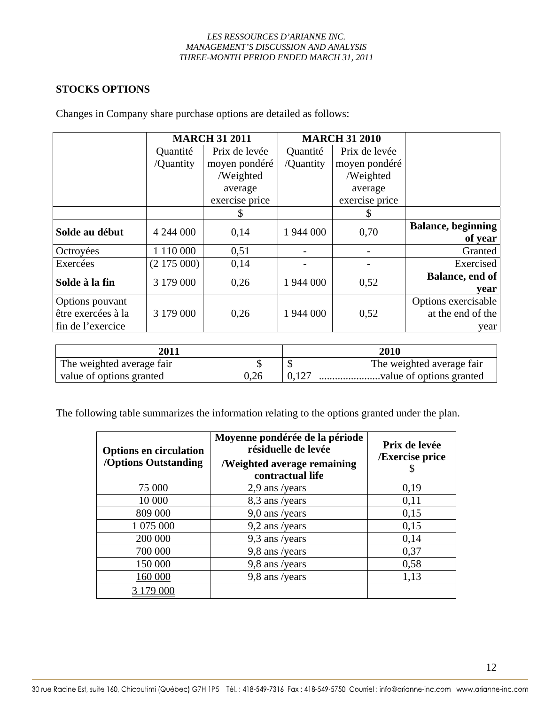# **STOCKS OPTIONS**

|                    | <b>MARCH 31 2011</b> |                |           | <b>MARCH 31 2010</b> |                            |
|--------------------|----------------------|----------------|-----------|----------------------|----------------------------|
|                    | Quantité             | Prix de levée  | Quantité  | Prix de levée        |                            |
|                    | /Quantity            | moyen pondéré  | /Quantity | moyen pondéré        |                            |
|                    |                      | /Weighted      |           | /Weighted            |                            |
|                    |                      | average        |           | average              |                            |
|                    |                      | exercise price |           | exercise price       |                            |
|                    |                      | S              |           |                      |                            |
| Solde au début     | 4 244 000            | 0,14           | 1 944 000 | 0,70                 | <b>Balance</b> , beginning |
|                    |                      |                |           |                      | of year                    |
| Octroyées          | 1 110 000            | 0,51           |           |                      | Granted                    |
| Exercées           | (2175000)            | 0,14           |           |                      | Exercised                  |
|                    |                      |                |           |                      | <b>Balance</b> , end of    |
| Solde à la fin     | 3 179 000            | 0,26           | 1 944 000 | 0,52                 | vear                       |
| Options pouvant    |                      |                |           |                      | Options exercisable        |
| être exercées à la | 3 179 000            | 0,26           | 1 944 000 | 0,52                 | at the end of the          |
| fin de l'exercice  |                      |                |           |                      | year                       |

Changes in Company share purchase options are detailed as follows:

| <b>2011</b>               |      | <b>2010</b>               |
|---------------------------|------|---------------------------|
| The weighted average fair |      | The weighted average fair |
| value of options granted  | 0.26 |                           |

The following table summarizes the information relating to the options granted under the plan.

| <b>Options en circulation</b><br><b>/Options Outstanding</b> | Moyenne pondérée de la période<br>résiduelle de levée<br><b>/Weighted average remaining</b><br>contractual life | Prix de levée<br><b>/Exercise price</b><br>\$ |
|--------------------------------------------------------------|-----------------------------------------------------------------------------------------------------------------|-----------------------------------------------|
| 75 000                                                       | 2,9 ans /years                                                                                                  | 0,19                                          |
| 10 000                                                       | 8,3 ans /years                                                                                                  | 0,11                                          |
| 809 000                                                      | 9,0 ans /years                                                                                                  | 0,15                                          |
| 1 075 000                                                    | $9,2$ ans /years                                                                                                | 0,15                                          |
| 200 000                                                      | 9,3 ans /years                                                                                                  | 0,14                                          |
| 700 000                                                      | 9,8 ans /years                                                                                                  | 0,37                                          |
| 150 000                                                      | 9,8 ans /years                                                                                                  | 0,58                                          |
| 160 000                                                      | 9,8 ans /years                                                                                                  | 1,13                                          |
| 179 000                                                      |                                                                                                                 |                                               |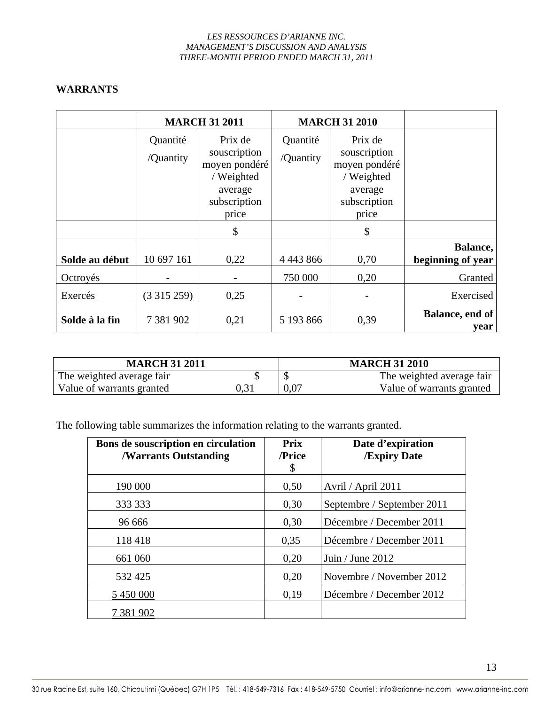# **WARRANTS**

|                | <b>MARCH 31 2011</b>  |                                                                                            |                       | <b>MARCH 31 2010</b>                                                                       |                               |
|----------------|-----------------------|--------------------------------------------------------------------------------------------|-----------------------|--------------------------------------------------------------------------------------------|-------------------------------|
|                | Quantité<br>/Quantity | Prix de<br>souscription<br>moyen pondéré<br>/ Weighted<br>average<br>subscription<br>price | Quantité<br>/Quantity | Prix de<br>souscription<br>moyen pondéré<br>/ Weighted<br>average<br>subscription<br>price |                               |
|                |                       | \$                                                                                         |                       | \$                                                                                         |                               |
| Solde au début | 10 697 161            | 0,22                                                                                       | 4 4 4 3 8 6 6         | 0,70                                                                                       | Balance,<br>beginning of year |
| Octroyés       |                       |                                                                                            | 750 000               | 0,20                                                                                       | Granted                       |
| Exercés        | (3315259)             | 0,25                                                                                       |                       |                                                                                            | Exercised                     |
| Solde à la fin | 7 381 902             | 0,21                                                                                       | 5 193 866             | 0,39                                                                                       | Balance, end of<br>vear       |

| <b>MARCH 31 2011</b>      |      | <b>MARCH 31 2010</b> |                           |  |
|---------------------------|------|----------------------|---------------------------|--|
| The weighted average fair |      |                      | The weighted average fair |  |
| Value of warrants granted | 0.31 | 0.07                 | Value of warrants granted |  |

The following table summarizes the information relating to the warrants granted.

| Bons de souscription en circulation<br><b>/Warrants Outstanding</b> | <b>Prix</b><br>/Price<br>\$ | Date d'expiration<br><b>/Expiry Date</b> |
|---------------------------------------------------------------------|-----------------------------|------------------------------------------|
| 190 000                                                             | 0,50                        | Avril / April 2011                       |
| 333 333                                                             | 0,30                        | Septembre / September 2011               |
| 96 666                                                              | 0,30                        | Décembre / December 2011                 |
| 118 418                                                             | 0,35                        | Décembre / December 2011                 |
| 661 060                                                             | 0,20                        | Juin / June $2012$                       |
| 532 425                                                             | 0,20                        | Novembre / November 2012                 |
| 5 450 000                                                           | 0,19                        | Décembre / December 2012                 |
| 7 381 902                                                           |                             |                                          |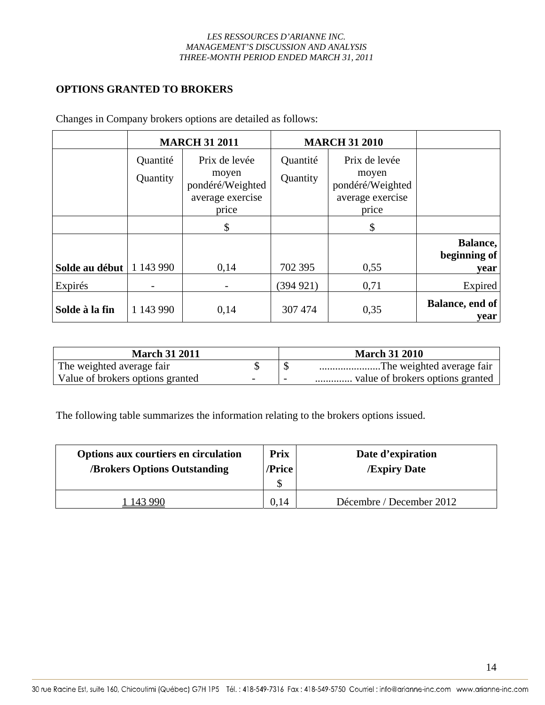# **OPTIONS GRANTED TO BROKERS**

|                | <b>MARCH 31 2011</b> |                                                                         |                      | <b>MARCH 31 2010</b>                                                    |                                  |
|----------------|----------------------|-------------------------------------------------------------------------|----------------------|-------------------------------------------------------------------------|----------------------------------|
|                | Quantité<br>Quantity | Prix de levée<br>moyen<br>pondéré/Weighted<br>average exercise<br>price | Quantité<br>Quantity | Prix de levée<br>moyen<br>pondéré/Weighted<br>average exercise<br>price |                                  |
|                |                      | S                                                                       |                      | \$                                                                      |                                  |
| Solde au début | 1 143 990            | 0,14                                                                    | 702 395              | 0,55                                                                    | Balance,<br>beginning of<br>year |
| Expirés        |                      |                                                                         | (394921)             | 0,71                                                                    | Expired                          |
| Solde à la fin | 1 143 990            | 0,14                                                                    | 307 474              | 0,35                                                                    | Balance, end of<br>year          |

Changes in Company brokers options are detailed as follows:

| <b>March 31 2011</b>                                         |                          | <b>March 31 2010</b>      |
|--------------------------------------------------------------|--------------------------|---------------------------|
| The weighted average fair                                    |                          | The weighted average fair |
| Value of brokers options granted<br>$\overline{\phantom{0}}$ | $\overline{\phantom{0}}$ |                           |

The following table summarizes the information relating to the brokers options issued.

| Options aux courtiers en circulation<br><b>/Brokers Options Outstanding</b> | <b>Prix</b><br>/Price | Date d'expiration<br><b>Expiry Date</b> |
|-----------------------------------------------------------------------------|-----------------------|-----------------------------------------|
|                                                                             | \$                    |                                         |
| 143 990                                                                     | 0.14                  | Décembre / December 2012                |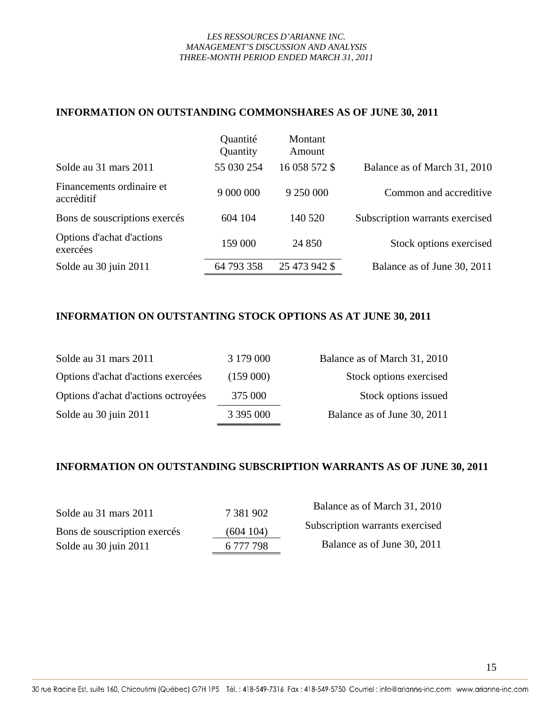### **INFORMATION ON OUTSTANDING COMMONSHARES AS OF JUNE 30, 2011**

|                                         | Quantité<br>Quantity | Montant<br>Amount |                                 |
|-----------------------------------------|----------------------|-------------------|---------------------------------|
| Solde au 31 mars 2011                   | 55 030 254           | 16 058 572 \$     | Balance as of March 31, 2010    |
| Financements ordinaire et<br>accréditif | 9 000 000            | 9 250 000         | Common and accreditive          |
| Bons de souscriptions exercés           | 604 104              | 140 520           | Subscription warrants exercised |
| Options d'achat d'actions<br>exercées   | 159 000              | 24 8 50           | Stock options exercised         |
| Solde au 30 juin 2011                   | 64 793 358           | 25 473 942 \$     | Balance as of June 30, 2011     |

# **INFORMATION ON OUTSTANTING STOCK OPTIONS AS AT JUNE 30, 2011**

| Solde au 31 mars 2011               | 3 179 000 | Balance as of March 31, 2010 |
|-------------------------------------|-----------|------------------------------|
| Options d'achat d'actions exercées  | (159000)  | Stock options exercised      |
| Options d'achat d'actions octroyées | 375 000   | Stock options issued         |
| Solde au 30 juin 2011               | 3 395 000 | Balance as of June 30, 2011  |

# **INFORMATION ON OUTSTANDING SUBSCRIPTION WARRANTS AS OF JUNE 30, 2011**

| Solde au 31 mars 2011        | 7 381 902 | Balance as of March 31, 2010    |
|------------------------------|-----------|---------------------------------|
| Bons de souscription exercés | (604104)  | Subscription warrants exercised |
| Solde au 30 juin 2011        | 6 777 798 | Balance as of June 30, 2011     |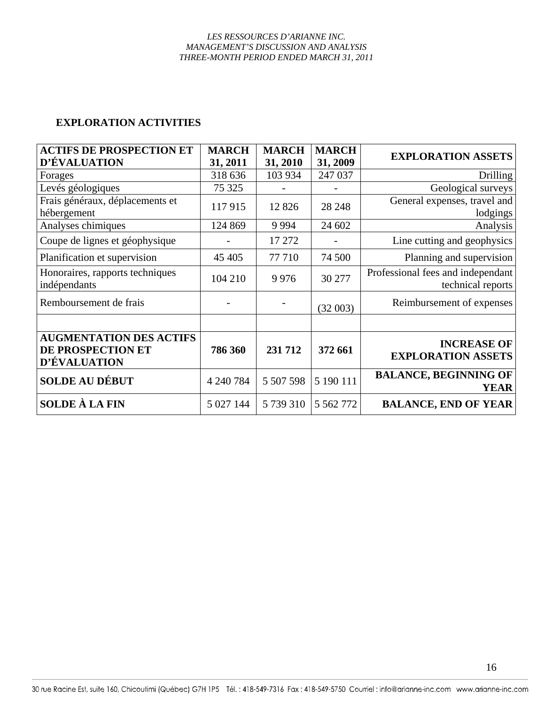# **EXPLORATION ACTIVITIES**

| <b>ACTIFS DE PROSPECTION ET</b> | <b>MARCH</b> | <b>MARCH</b> | <b>MARCH</b>  | <b>EXPLORATION ASSETS</b>         |
|---------------------------------|--------------|--------------|---------------|-----------------------------------|
| D'ÉVALUATION                    | 31, 2011     | 31, 2010     | 31, 2009      |                                   |
| Forages                         | 318 636      | 103 934      | 247 037       | Drilling                          |
| Levés géologiques               | 75 325       |              |               | Geological surveys                |
| Frais généraux, déplacements et | 117915       | 12 8 26      | 28 24 8       | General expenses, travel and      |
| hébergement                     |              |              |               | lodgings                          |
| Analyses chimiques              | 124 869      | 9 9 9 4      | 24 602        | Analysis                          |
| Coupe de lignes et géophysique  |              | 17 27 2      |               | Line cutting and geophysics       |
| Planification et supervision    | 45 405       | 77 710       | 74 500        | Planning and supervision          |
| Honoraires, rapports techniques | 104 210      | 9976         | 30 277        | Professional fees and independant |
| indépendants                    |              |              |               | technical reports                 |
| Remboursement de frais          |              |              | (32003)       | Reimbursement of expenses         |
|                                 |              |              |               |                                   |
|                                 |              |              |               |                                   |
| <b>AUGMENTATION DES ACTIFS</b>  |              |              |               | <b>INCREASE OF</b>                |
| <b>DE PROSPECTION ET</b>        | 786 360      | 231712       | 372 661       | <b>EXPLORATION ASSETS</b>         |
| <b>D'ÉVALUATION</b>             |              |              |               |                                   |
| <b>SOLDE AU DÉBUT</b>           | 4 240 784    | 5 507 598    | 5 190 111     | <b>BALANCE, BEGINNING OF</b>      |
|                                 |              |              |               | <b>YEAR</b>                       |
| <b>SOLDE À LA FIN</b>           | 5 027 144    | 5 739 310    | 5 5 6 2 7 7 2 | <b>BALANCE, END OF YEAR</b>       |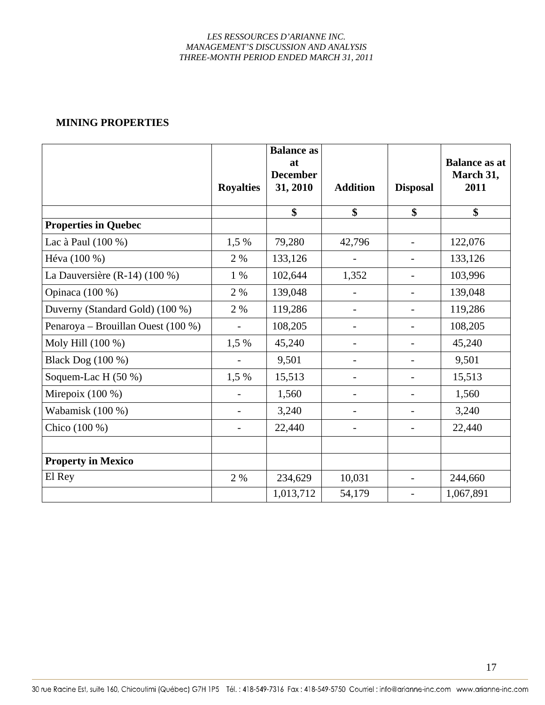### **MINING PROPERTIES**

|                                    | <b>Royalties</b>         | <b>Balance as</b><br>at<br><b>December</b><br>31, 2010 | <b>Addition</b> | <b>Disposal</b>          | <b>Balance as at</b><br>March 31,<br>2011 |
|------------------------------------|--------------------------|--------------------------------------------------------|-----------------|--------------------------|-------------------------------------------|
|                                    |                          | \$                                                     | \$              | \$                       | \$                                        |
| <b>Properties in Quebec</b>        |                          |                                                        |                 |                          |                                           |
| Lac à Paul (100 %)                 | 1,5 %                    | 79,280                                                 | 42,796          | $\overline{\phantom{a}}$ | 122,076                                   |
| Héva (100 %)                       | 2 %                      | 133,126                                                |                 | $\overline{\phantom{a}}$ | 133,126                                   |
| La Dauversière (R-14) $(100\%)$    | 1 %                      | 102,644                                                | 1,352           |                          | 103,996                                   |
| Opinaca (100 %)                    | 2 %                      | 139,048                                                |                 |                          | 139,048                                   |
| Duverny (Standard Gold) (100 %)    | 2 %                      | 119,286                                                |                 |                          | 119,286                                   |
| Penaroya – Brouillan Ouest (100 %) | $\overline{\phantom{0}}$ | 108,205                                                |                 | $\overline{\phantom{a}}$ | 108,205                                   |
| Moly Hill (100 %)                  | 1,5 %                    | 45,240                                                 |                 |                          | 45,240                                    |
| Black Dog (100 %)                  |                          | 9,501                                                  |                 |                          | 9,501                                     |
| Soquem-Lac H $(50\%)$              | 1,5 %                    | 15,513                                                 |                 |                          | 15,513                                    |
| Mirepoix $(100\%)$                 |                          | 1,560                                                  |                 | $\overline{\phantom{a}}$ | 1,560                                     |
| Wabamisk (100 %)                   |                          | 3,240                                                  |                 |                          | 3,240                                     |
| Chico (100 %)                      |                          | 22,440                                                 |                 |                          | 22,440                                    |
| <b>Property in Mexico</b>          |                          |                                                        |                 |                          |                                           |
| El Rey                             | 2 %                      | 234,629                                                | 10,031          |                          | 244,660                                   |
|                                    |                          | 1,013,712                                              | 54,179          | $\overline{\phantom{a}}$ | 1,067,891                                 |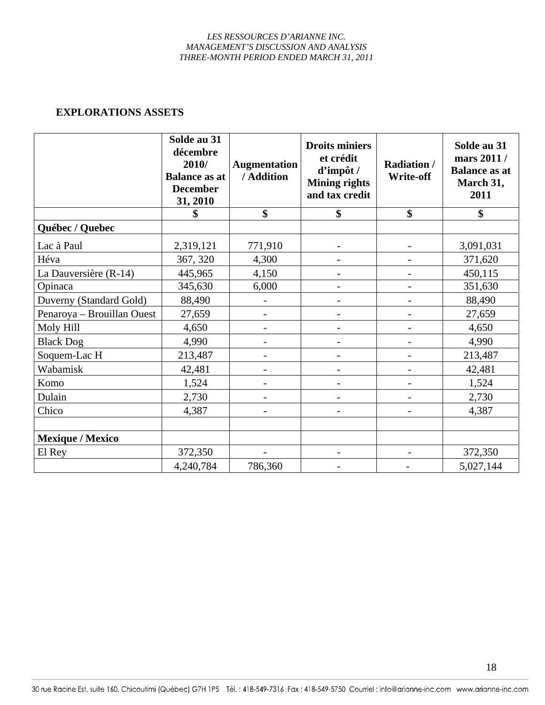### **EXPLORATIONS ASSETS**

|                            | Solde au 31<br>décembre<br>2010/<br><b>Balance as at</b><br><b>December</b><br>31, 2010 | <b>Augmentation</b><br>/ Addition | <b>Droits miniers</b><br>et crédit<br>d'impôt /<br><b>Mining rights</b><br>and tax credit | <b>Radiation /</b><br>Write-off | Solde au 31<br>mars 2011 /<br><b>Balance as at</b><br>March 31,<br>2011 |
|----------------------------|-----------------------------------------------------------------------------------------|-----------------------------------|-------------------------------------------------------------------------------------------|---------------------------------|-------------------------------------------------------------------------|
|                            |                                                                                         | \$                                | \$                                                                                        | \$                              | \$                                                                      |
| Québec / Quebec            |                                                                                         |                                   |                                                                                           |                                 |                                                                         |
| Lac à Paul                 | 2,319,121                                                                               | 771,910                           |                                                                                           |                                 | 3,091,031                                                               |
| Héva                       | 367, 320                                                                                | 4,300                             |                                                                                           |                                 | 371,620                                                                 |
| La Dauversière (R-14)      | 445,965                                                                                 | 4,150                             |                                                                                           |                                 | 450,115                                                                 |
| Opinaca                    | 345,630                                                                                 | 6,000                             |                                                                                           |                                 | 351,630                                                                 |
| Duverny (Standard Gold)    | 88,490                                                                                  |                                   |                                                                                           |                                 | 88,490                                                                  |
| Penaroya - Brouillan Ouest | 27,659                                                                                  |                                   |                                                                                           |                                 | 27,659                                                                  |
| Moly Hill                  | 4,650                                                                                   |                                   |                                                                                           |                                 | 4,650                                                                   |
| <b>Black Dog</b>           | 4,990                                                                                   |                                   |                                                                                           |                                 | 4,990                                                                   |
| Soquem-Lac H               | 213,487                                                                                 |                                   |                                                                                           |                                 | 213,487                                                                 |
| Wabamisk                   | 42,481                                                                                  |                                   |                                                                                           |                                 | 42,481                                                                  |
| Komo                       | 1,524                                                                                   |                                   |                                                                                           |                                 | 1,524                                                                   |
| Dulain                     | 2,730                                                                                   |                                   | $\overline{\phantom{0}}$                                                                  |                                 | 2,730                                                                   |
| Chico                      | 4,387                                                                                   |                                   |                                                                                           |                                 | 4,387                                                                   |
|                            |                                                                                         |                                   |                                                                                           |                                 |                                                                         |
| <b>Mexique / Mexico</b>    |                                                                                         |                                   |                                                                                           |                                 |                                                                         |
| El Rey                     | 372,350                                                                                 |                                   |                                                                                           |                                 | 372,350                                                                 |
|                            | 4,240,784                                                                               | 786,360                           |                                                                                           |                                 | 5,027,144                                                               |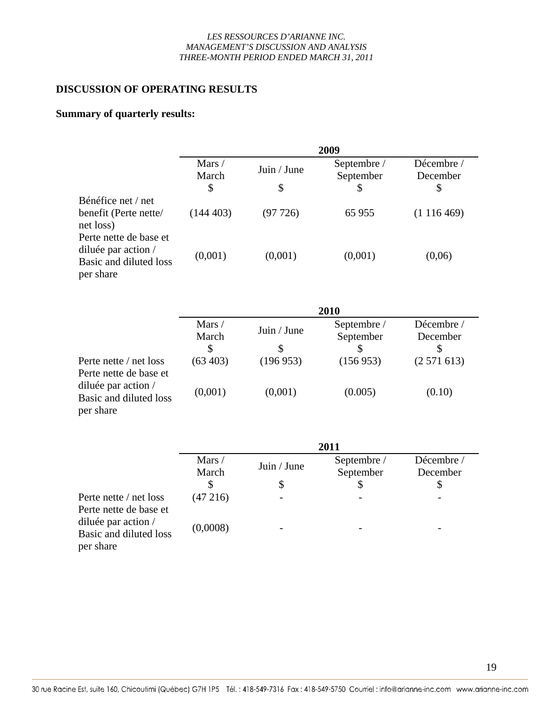# **DISCUSSION OF OPERATING RESULTS**

# **Summary of quarterly results:**

|                                                                                                             |                 |             | 2009                     |                        |  |  |
|-------------------------------------------------------------------------------------------------------------|-----------------|-------------|--------------------------|------------------------|--|--|
|                                                                                                             | Mars /<br>March | Juin / June | Septembre /<br>September | Décembre /<br>December |  |  |
|                                                                                                             | \$              | \$          | \$                       | \$                     |  |  |
| Bénéfice net / net                                                                                          |                 |             |                          |                        |  |  |
| benefit (Perte nette/<br>net loss)                                                                          | (144403)        | (97726)     | 65 955                   | (1116469)              |  |  |
| Perte nette de base et<br>diluée par action $\overline{\phantom{a}}$<br>Basic and diluted loss<br>per share | (0,001)         | (0,001)     | (0,001)                  | (0,06)                 |  |  |
|                                                                                                             | 2010            |             |                          |                        |  |  |
|                                                                                                             | Mars /<br>March | Juin / June | Septembre /<br>September | Décembre /<br>December |  |  |
|                                                                                                             | \$              | \$          | S                        | \$                     |  |  |
| Perte nette / net loss<br>Perte nette de base et                                                            | (63, 403)       | (196953)    | (156953)                 | (2571613)              |  |  |
| diluée par action $\overline{\phantom{a}}$<br>Basic and diluted loss<br>per share                           | (0,001)         | (0,001)     | (0.005)                  | (0.10)                 |  |  |

|                                                            | 2011            |             |                          |                        |  |  |
|------------------------------------------------------------|-----------------|-------------|--------------------------|------------------------|--|--|
|                                                            | Mars /<br>March | Juin / June | Septembre /<br>September | Décembre /<br>December |  |  |
|                                                            |                 | Ֆ           |                          |                        |  |  |
| Perte nette / net loss<br>Perte nette de base et           | (47216)         |             |                          |                        |  |  |
| diluée par action /<br>Basic and diluted loss<br>per share | (0,0008)        |             |                          |                        |  |  |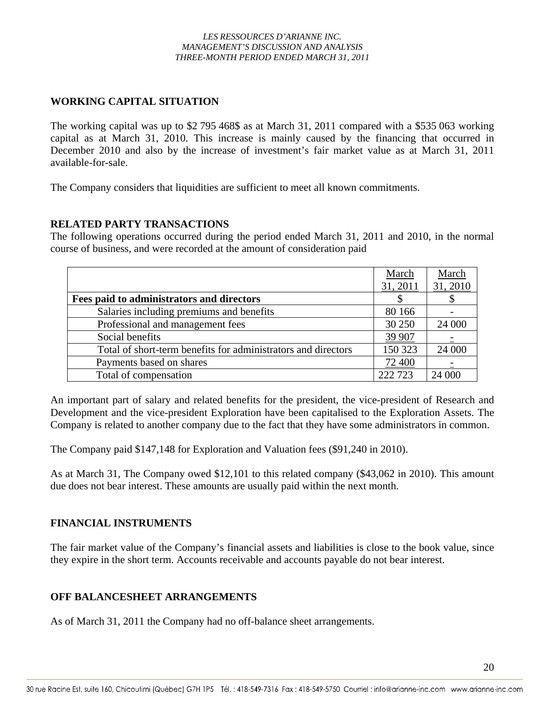# **WORKING CAPITAL SITUATION**

The working capital was up to \$2 795 468\$ as at March 31, 2011 compared with a \$535 063 working capital as at March 31, 2010. This increase is mainly caused by the financing that occurred in December 2010 and also by the increase of investment's fair market value as at March 31, 2011 available-for-sale.

The Company considers that liquidities are sufficient to meet all known commitments.

### **RELATED PARTY TRANSACTIONS**

The following operations occurred during the period ended March 31, 2011 and 2010, in the normal course of business, and were recorded at the amount of consideration paid

|                                                               | March    | March    |
|---------------------------------------------------------------|----------|----------|
|                                                               | 31, 2011 | 31, 2010 |
| Fees paid to administrators and directors                     |          | P.       |
| Salaries including premiums and benefits                      | 80 166   |          |
| Professional and management fees                              | 30 250   | 24 000   |
| Social benefits                                               | 39 907   |          |
| Total of short-term benefits for administrators and directors | 150 323  | 24 000   |
| Payments based on shares                                      | 72 400   |          |
| Total of compensation                                         | 222 723  | 24 000   |

An important part of salary and related benefits for the president, the vice-president of Research and Development and the vice-president Exploration have been capitalised to the Exploration Assets. The Company is related to another company due to the fact that they have some administrators in common.

The Company paid \$147,148 for Exploration and Valuation fees (\$91,240 in 2010).

As at March 31, The Company owed \$12,101 to this related company (\$43,062 in 2010). This amount due does not bear interest. These amounts are usually paid within the next month.

# **FINANCIAL INSTRUMENTS**

The fair market value of the Company's financial assets and liabilities is close to the book value, since they expire in the short term. Accounts receivable and accounts payable do not bear interest.

# **OFF BALANCESHEET ARRANGEMENTS**

As of March 31, 2011 the Company had no off-balance sheet arrangements.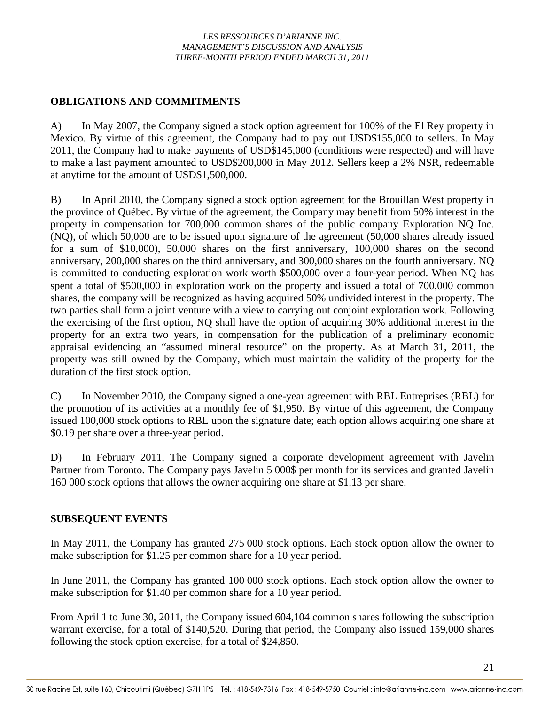# **OBLIGATIONS AND COMMITMENTS**

A) In May 2007, the Company signed a stock option agreement for 100% of the El Rey property in Mexico. By virtue of this agreement, the Company had to pay out USD\$155,000 to sellers. In May 2011, the Company had to make payments of USD\$145,000 (conditions were respected) and will have to make a last payment amounted to USD\$200,000 in May 2012. Sellers keep a 2% NSR, redeemable at anytime for the amount of USD\$1,500,000.

B) In April 2010, the Company signed a stock option agreement for the Brouillan West property in the province of Québec. By virtue of the agreement, the Company may benefit from 50% interest in the property in compensation for 700,000 common shares of the public company Exploration NQ Inc. (NQ), of which 50,000 are to be issued upon signature of the agreement (50,000 shares already issued for a sum of \$10,000), 50,000 shares on the first anniversary, 100,000 shares on the second anniversary, 200,000 shares on the third anniversary, and 300,000 shares on the fourth anniversary. NQ is committed to conducting exploration work worth \$500,000 over a four-year period. When NQ has spent a total of \$500,000 in exploration work on the property and issued a total of 700,000 common shares, the company will be recognized as having acquired 50% undivided interest in the property. The two parties shall form a joint venture with a view to carrying out conjoint exploration work. Following the exercising of the first option, NQ shall have the option of acquiring 30% additional interest in the property for an extra two years, in compensation for the publication of a preliminary economic appraisal evidencing an "assumed mineral resource" on the property. As at March 31, 2011, the property was still owned by the Company, which must maintain the validity of the property for the duration of the first stock option.

C) In November 2010, the Company signed a one-year agreement with RBL Entreprises (RBL) for the promotion of its activities at a monthly fee of \$1,950. By virtue of this agreement, the Company issued 100,000 stock options to RBL upon the signature date; each option allows acquiring one share at \$0.19 per share over a three-year period.

D) In February 2011, The Company signed a corporate development agreement with Javelin Partner from Toronto. The Company pays Javelin 5 000\$ per month for its services and granted Javelin 160 000 stock options that allows the owner acquiring one share at \$1.13 per share.

# **SUBSEQUENT EVENTS**

In May 2011, the Company has granted 275 000 stock options. Each stock option allow the owner to make subscription for \$1.25 per common share for a 10 year period.

In June 2011, the Company has granted 100 000 stock options. Each stock option allow the owner to make subscription for \$1.40 per common share for a 10 year period.

From April 1 to June 30, 2011, the Company issued 604,104 common shares following the subscription warrant exercise, for a total of \$140,520. During that period, the Company also issued 159,000 shares following the stock option exercise, for a total of \$24,850.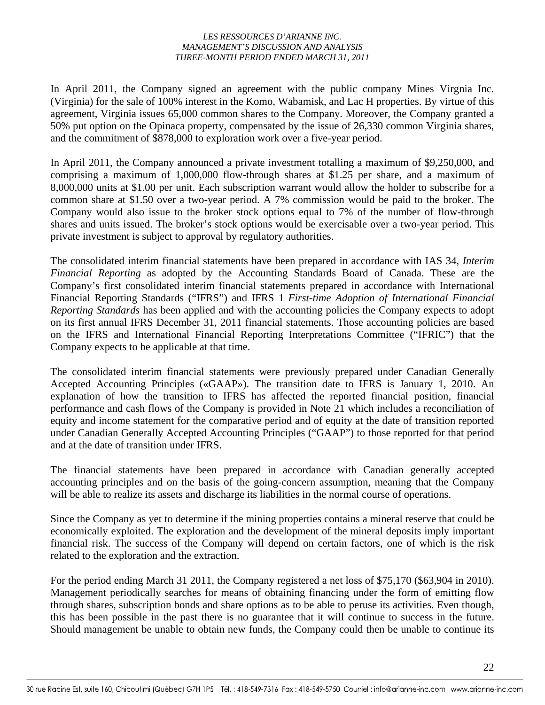In April 2011, the Company signed an agreement with the public company Mines Virgnia Inc. (Virginia) for the sale of 100% interest in the Komo, Wabamisk, and Lac H properties. By virtue of this agreement, Virginia issues 65,000 common shares to the Company. Moreover, the Company granted a 50% put option on the Opinaca property, compensated by the issue of 26,330 common Virginia shares, and the commitment of \$878,000 to exploration work over a five-year period.

In April 2011, the Company announced a private investment totalling a maximum of \$9,250,000, and comprising a maximum of 1,000,000 flow-through shares at \$1.25 per share, and a maximum of 8,000,000 units at \$1.00 per unit. Each subscription warrant would allow the holder to subscribe for a common share at \$1.50 over a two-year period. A 7% commission would be paid to the broker. The Company would also issue to the broker stock options equal to 7% of the number of flow-through shares and units issued. The broker's stock options would be exercisable over a two-year period. This private investment is subject to approval by regulatory authorities.

The consolidated interim financial statements have been prepared in accordance with IAS 34, *Interim Financial Reporting* as adopted by the Accounting Standards Board of Canada. These are the Company's first consolidated interim financial statements prepared in accordance with International Financial Reporting Standards ("IFRS") and IFRS 1 *First-time Adoption of International Financial Reporting Standards* has been applied and with the accounting policies the Company expects to adopt on its first annual IFRS December 31, 2011 financial statements. Those accounting policies are based on the IFRS and International Financial Reporting Interpretations Committee ("IFRIC") that the Company expects to be applicable at that time.

The consolidated interim financial statements were previously prepared under Canadian Generally Accepted Accounting Principles («GAAP»). The transition date to IFRS is January 1, 2010. An explanation of how the transition to IFRS has affected the reported financial position, financial performance and cash flows of the Company is provided in Note 21 which includes a reconciliation of equity and income statement for the comparative period and of equity at the date of transition reported under Canadian Generally Accepted Accounting Principles ("GAAP") to those reported for that period and at the date of transition under IFRS.

The financial statements have been prepared in accordance with Canadian generally accepted accounting principles and on the basis of the going-concern assumption, meaning that the Company will be able to realize its assets and discharge its liabilities in the normal course of operations.

Since the Company as yet to determine if the mining properties contains a mineral reserve that could be economically exploited. The exploration and the development of the mineral deposits imply important financial risk. The success of the Company will depend on certain factors, one of which is the risk related to the exploration and the extraction.

For the period ending March 31 2011, the Company registered a net loss of \$75,170 (\$63,904 in 2010). Management periodically searches for means of obtaining financing under the form of emitting flow through shares, subscription bonds and share options as to be able to peruse its activities. Even though, this has been possible in the past there is no guarantee that it will continue to success in the future. Should management be unable to obtain new funds, the Company could then be unable to continue its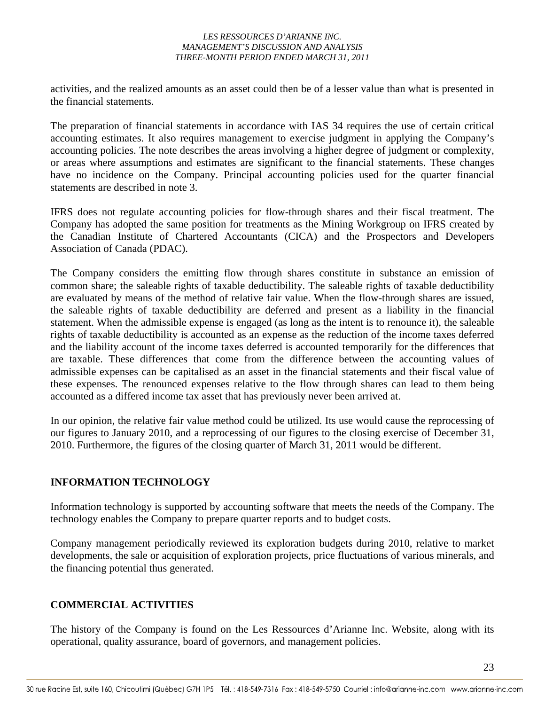activities, and the realized amounts as an asset could then be of a lesser value than what is presented in the financial statements.

The preparation of financial statements in accordance with IAS 34 requires the use of certain critical accounting estimates. It also requires management to exercise judgment in applying the Company's accounting policies. The note describes the areas involving a higher degree of judgment or complexity, or areas where assumptions and estimates are significant to the financial statements. These changes have no incidence on the Company. Principal accounting policies used for the quarter financial statements are described in note 3.

IFRS does not regulate accounting policies for flow-through shares and their fiscal treatment. The Company has adopted the same position for treatments as the Mining Workgroup on IFRS created by the Canadian Institute of Chartered Accountants (CICA) and the Prospectors and Developers Association of Canada (PDAC).

The Company considers the emitting flow through shares constitute in substance an emission of common share; the saleable rights of taxable deductibility. The saleable rights of taxable deductibility are evaluated by means of the method of relative fair value. When the flow-through shares are issued, the saleable rights of taxable deductibility are deferred and present as a liability in the financial statement. When the admissible expense is engaged (as long as the intent is to renounce it), the saleable rights of taxable deductibility is accounted as an expense as the reduction of the income taxes deferred and the liability account of the income taxes deferred is accounted temporarily for the differences that are taxable. These differences that come from the difference between the accounting values of admissible expenses can be capitalised as an asset in the financial statements and their fiscal value of these expenses. The renounced expenses relative to the flow through shares can lead to them being accounted as a differed income tax asset that has previously never been arrived at.

In our opinion, the relative fair value method could be utilized. Its use would cause the reprocessing of our figures to January 2010, and a reprocessing of our figures to the closing exercise of December 31, 2010. Furthermore, the figures of the closing quarter of March 31, 2011 would be different.

# **INFORMATION TECHNOLOGY**

Information technology is supported by accounting software that meets the needs of the Company. The technology enables the Company to prepare quarter reports and to budget costs.

Company management periodically reviewed its exploration budgets during 2010, relative to market developments, the sale or acquisition of exploration projects, price fluctuations of various minerals, and the financing potential thus generated.

# **COMMERCIAL ACTIVITIES**

The history of the Company is found on the Les Ressources d'Arianne Inc. Website, along with its operational, quality assurance, board of governors, and management policies.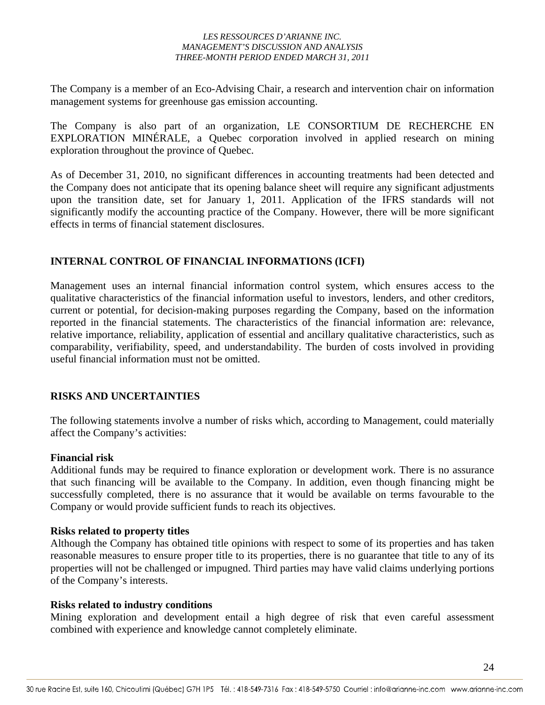The Company is a member of an Eco-Advising Chair, a research and intervention chair on information management systems for greenhouse gas emission accounting.

The Company is also part of an organization, LE CONSORTIUM DE RECHERCHE EN EXPLORATION MINÉRALE, a Quebec corporation involved in applied research on mining exploration throughout the province of Quebec.

As of December 31, 2010, no significant differences in accounting treatments had been detected and the Company does not anticipate that its opening balance sheet will require any significant adjustments upon the transition date, set for January 1, 2011. Application of the IFRS standards will not significantly modify the accounting practice of the Company. However, there will be more significant effects in terms of financial statement disclosures.

# **INTERNAL CONTROL OF FINANCIAL INFORMATIONS (ICFI)**

Management uses an internal financial information control system, which ensures access to the qualitative characteristics of the financial information useful to investors, lenders, and other creditors, current or potential, for decision-making purposes regarding the Company, based on the information reported in the financial statements. The characteristics of the financial information are: relevance, relative importance, reliability, application of essential and ancillary qualitative characteristics, such as comparability, verifiability, speed, and understandability. The burden of costs involved in providing useful financial information must not be omitted.

# **RISKS AND UNCERTAINTIES**

The following statements involve a number of risks which, according to Management, could materially affect the Company's activities:

# **Financial risk**

Additional funds may be required to finance exploration or development work. There is no assurance that such financing will be available to the Company. In addition, even though financing might be successfully completed, there is no assurance that it would be available on terms favourable to the Company or would provide sufficient funds to reach its objectives.

# **Risks related to property titles**

Although the Company has obtained title opinions with respect to some of its properties and has taken reasonable measures to ensure proper title to its properties, there is no guarantee that title to any of its properties will not be challenged or impugned. Third parties may have valid claims underlying portions of the Company's interests.

# **Risks related to industry conditions**

Mining exploration and development entail a high degree of risk that even careful assessment combined with experience and knowledge cannot completely eliminate.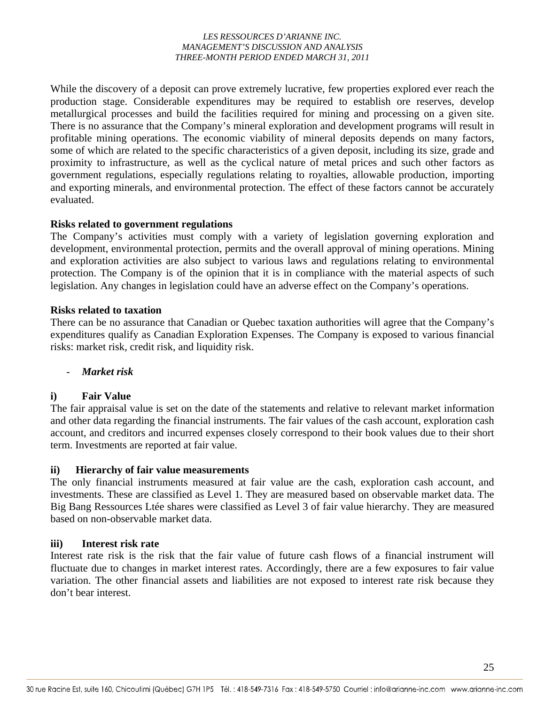While the discovery of a deposit can prove extremely lucrative, few properties explored ever reach the production stage. Considerable expenditures may be required to establish ore reserves, develop metallurgical processes and build the facilities required for mining and processing on a given site. There is no assurance that the Company's mineral exploration and development programs will result in profitable mining operations. The economic viability of mineral deposits depends on many factors, some of which are related to the specific characteristics of a given deposit, including its size, grade and proximity to infrastructure, as well as the cyclical nature of metal prices and such other factors as government regulations, especially regulations relating to royalties, allowable production, importing and exporting minerals, and environmental protection. The effect of these factors cannot be accurately evaluated.

### **Risks related to government regulations**

The Company's activities must comply with a variety of legislation governing exploration and development, environmental protection, permits and the overall approval of mining operations. Mining and exploration activities are also subject to various laws and regulations relating to environmental protection. The Company is of the opinion that it is in compliance with the material aspects of such legislation. Any changes in legislation could have an adverse effect on the Company's operations.

### **Risks related to taxation**

There can be no assurance that Canadian or Quebec taxation authorities will agree that the Company's expenditures qualify as Canadian Exploration Expenses. The Company is exposed to various financial risks: market risk, credit risk, and liquidity risk.

# - *Market risk*

# **i) Fair Value**

The fair appraisal value is set on the date of the statements and relative to relevant market information and other data regarding the financial instruments. The fair values of the cash account, exploration cash account, and creditors and incurred expenses closely correspond to their book values due to their short term. Investments are reported at fair value.

### **ii) Hierarchy of fair value measurements**

The only financial instruments measured at fair value are the cash, exploration cash account, and investments. These are classified as Level 1. They are measured based on observable market data. The Big Bang Ressources Ltée shares were classified as Level 3 of fair value hierarchy. They are measured based on non-observable market data.

### **iii) Interest risk rate**

Interest rate risk is the risk that the fair value of future cash flows of a financial instrument will fluctuate due to changes in market interest rates. Accordingly, there are a few exposures to fair value variation. The other financial assets and liabilities are not exposed to interest rate risk because they don't bear interest.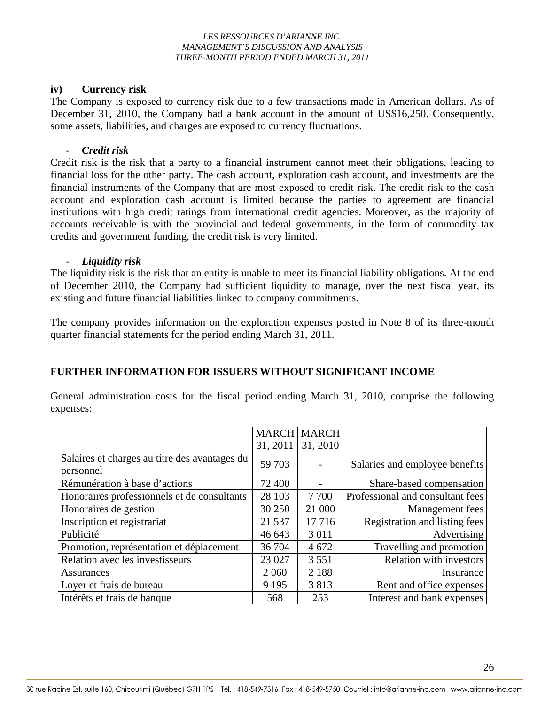### **iv) Currency risk**

The Company is exposed to currency risk due to a few transactions made in American dollars. As of December 31, 2010, the Company had a bank account in the amount of US\$16,250. Consequently, some assets, liabilities, and charges are exposed to currency fluctuations.

### - *Credit risk*

Credit risk is the risk that a party to a financial instrument cannot meet their obligations, leading to financial loss for the other party. The cash account, exploration cash account, and investments are the financial instruments of the Company that are most exposed to credit risk. The credit risk to the cash account and exploration cash account is limited because the parties to agreement are financial institutions with high credit ratings from international credit agencies. Moreover, as the majority of accounts receivable is with the provincial and federal governments, in the form of commodity tax credits and government funding, the credit risk is very limited.

### - *Liquidity risk*

The liquidity risk is the risk that an entity is unable to meet its financial liability obligations. At the end of December 2010, the Company had sufficient liquidity to manage, over the next fiscal year, its existing and future financial liabilities linked to company commitments.

The company provides information on the exploration expenses posted in Note 8 of its three-month quarter financial statements for the period ending March 31, 2011.

# **FURTHER INFORMATION FOR ISSUERS WITHOUT SIGNIFICANT INCOME**

General administration costs for the fiscal period ending March 31, 2010, comprise the following expenses:

|                                                            |          | <b>MARCH MARCH</b> |                                  |
|------------------------------------------------------------|----------|--------------------|----------------------------------|
|                                                            | 31, 2011 | 31, 2010           |                                  |
| Salaires et charges au titre des avantages du<br>personnel | 59 703   |                    | Salaries and employee benefits   |
| Rémunération à base d'actions                              | 72 400   |                    | Share-based compensation         |
| Honoraires professionnels et de consultants                | 28 103   | 7 700              | Professional and consultant fees |
| Honoraires de gestion                                      | 30 250   | 21 000             | Management fees                  |
| Inscription et registrariat                                | 21 5 37  | 17 7 16            | Registration and listing fees    |
| Publicité                                                  | 46 643   | 3 0 1 1            | Advertising                      |
| Promotion, représentation et déplacement                   | 36 704   | 4672               | Travelling and promotion         |
| Relation avec les investisseurs                            | 23 027   | 3 5 5 1            | <b>Relation with investors</b>   |
| <b>Assurances</b>                                          | 2 0 6 0  | 2 1 8 8            | Insurance                        |
| Loyer et frais de bureau                                   | 9 1 9 5  | 3813               | Rent and office expenses         |
| Intérêts et frais de banque                                | 568      | 253                | Interest and bank expenses       |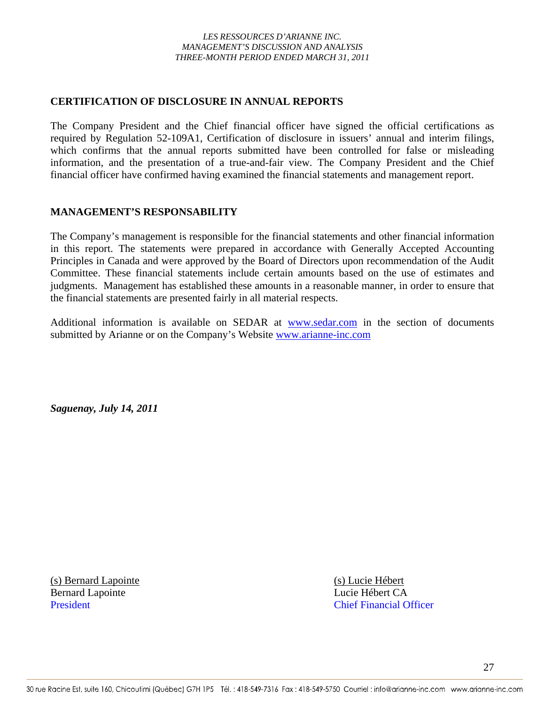### **CERTIFICATION OF DISCLOSURE IN ANNUAL REPORTS**

The Company President and the Chief financial officer have signed the official certifications as required by Regulation 52-109A1, Certification of disclosure in issuers' annual and interim filings, which confirms that the annual reports submitted have been controlled for false or misleading information, and the presentation of a true-and-fair view. The Company President and the Chief financial officer have confirmed having examined the financial statements and management report.

### **MANAGEMENT'S RESPONSABILITY**

The Company's management is responsible for the financial statements and other financial information in this report. The statements were prepared in accordance with Generally Accepted Accounting Principles in Canada and were approved by the Board of Directors upon recommendation of the Audit Committee. These financial statements include certain amounts based on the use of estimates and judgments. Management has established these amounts in a reasonable manner, in order to ensure that the financial statements are presented fairly in all material respects.

Additional information is available on SEDAR at www.sedar.com in the section of documents submitted by Arianne or on the Company's Website www.arianne-inc.com

*Saguenay, July 14, 2011* 

(s) Bernard Lapointe (s) Lucie Hébert Bernard Lapointe Lucie Hébert CA

President Chief Financial Officer